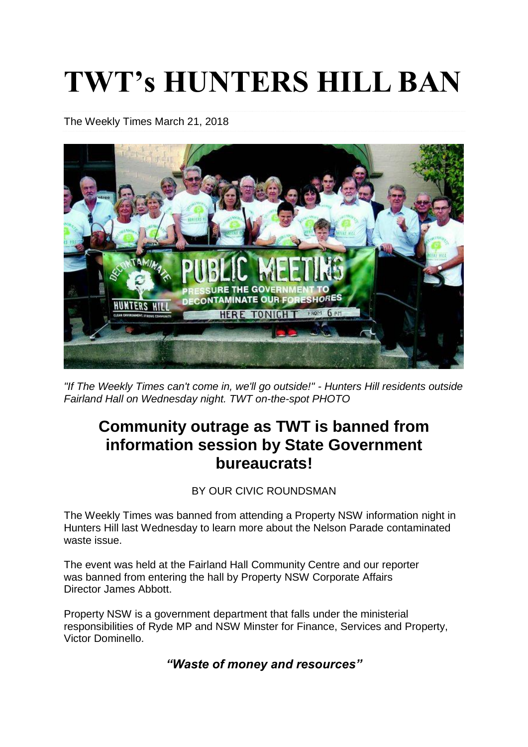# **TWT's HUNTERS HILL BAN**

The Weekly Times [March](http://www.weeklytimes.com.au/2018/03/) 21, 2018



*"If The Weekly Times can't come in, we'll go outside!" - Hunters Hill residents outside Fairland Hall on Wednesday night. TWT on-the-spot PHOTO*

## **Community outrage as TWT is banned from information session by State Government bureaucrats!**

BY OUR CIVIC ROUNDSMAN

The Weekly Times was banned from attending a Property NSW information night in Hunters Hill last Wednesday to learn more about the Nelson Parade contaminated waste issue.

The event was held at the Fairland Hall Community Centre and our reporter was banned from entering the hall by Property NSW Corporate Affairs Director James Abbott.

Property NSW is a government department that falls under the ministerial responsibilities of Ryde MP and NSW Minster for Finance, Services and Property, Victor Dominello.

*"Waste of money and resources"*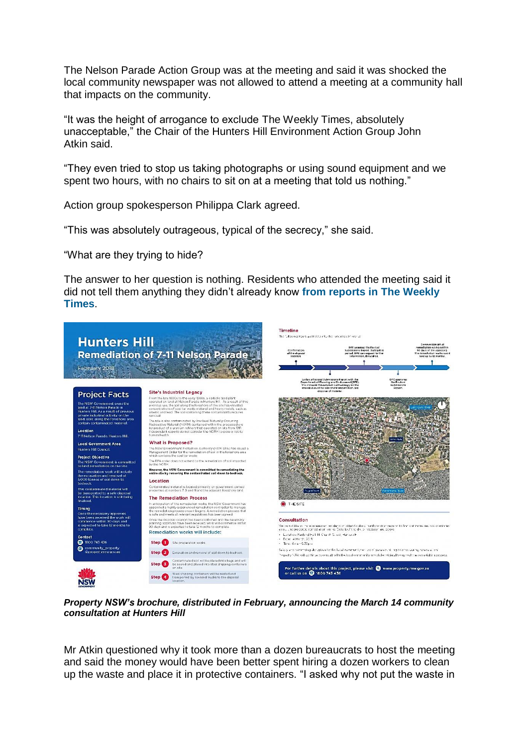The Nelson Parade Action Group was at the meeting and said it was shocked the local community newspaper was not allowed to attend a meeting at a community hall that impacts on the community.

"It was the height of arrogance to exclude The Weekly Times, absolutely unacceptable," the Chair of the Hunters Hill Environment Action Group John Atkin said.

"They even tried to stop us taking photographs or using sound equipment and we spent two hours, with no chairs to sit on at a meeting that told us nothing."

Action group spokesperson Philippa Clark agreed.

"This was absolutely outrageous, typical of the secrecy," she said.

"What are they trying to hide?

The answer to her question is nothing. Residents who attended the meeting said it did not tell them anything they didn't already know **from [reports](http://www.weeklytimes.com.au/we-want-action/) in The Weekly [Times](http://www.weeklytimes.com.au/we-want-action/)**.



*Property NSW's brochure, distributed in February, announcing the March 14 community consultation at Hunters Hill*

Mr Atkin questioned why it took more than a dozen bureaucrats to host the meeting and said the money would have been better spent hiring a dozen workers to clean up the waste and place it in protective containers. "I asked why not put the waste in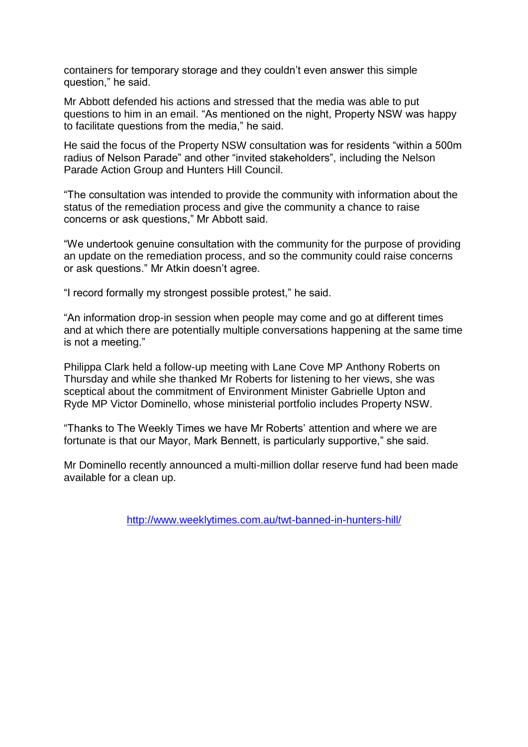containers for temporary storage and they couldn't even answer this simple question," he said.

Mr Abbott defended his actions and stressed that the media was able to put questions to him in an email. "As mentioned on the night, Property NSW was happy to facilitate questions from the media," he said.

He said the focus of the Property NSW consultation was for residents "within a 500m radius of Nelson Parade" and other "invited stakeholders", including the Nelson Parade Action Group and Hunters Hill Council.

"The consultation was intended to provide the community with information about the status of the remediation process and give the community a chance to raise concerns or ask questions," Mr Abbott said.

"We undertook genuine consultation with the community for the purpose of providing an update on the remediation process, and so the community could raise concerns or ask questions." Mr Atkin doesn't agree.

"I record formally my strongest possible protest," he said.

"An information drop-in session when people may come and go at different times and at which there are potentially multiple conversations happening at the same time is not a meeting."

Philippa Clark held a follow-up meeting with Lane Cove MP Anthony Roberts on Thursday and while she thanked Mr Roberts for listening to her views, she was sceptical about the commitment of Environment Minister Gabrielle Upton and Ryde MP Victor Dominello, whose ministerial portfolio includes Property NSW.

"Thanks to The Weekly Times we have Mr Roberts' attention and where we are fortunate is that our Mayor, Mark Bennett, is particularly supportive," she said.

Mr Dominello recently announced a multi-million dollar reserve fund had been made available for a clean up.

<http://www.weeklytimes.com.au/twt-banned-in-hunters-hill/>